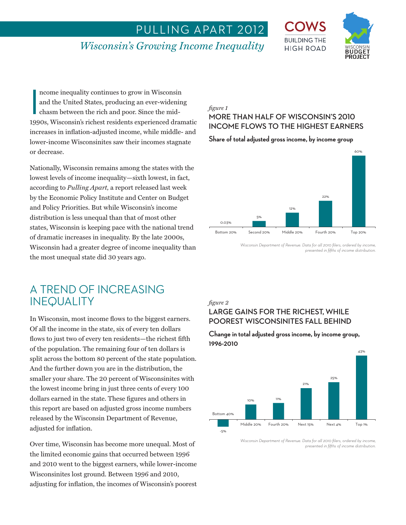## PULLING APART 2012

## *Wisconsin's Growing Income Inequality*



ncome inequality continues to grow in Wisconsin<br>
and the United States, producing an ever-widening<br>
chasm between the rich and poor. Since the mid-<br>
1990s, Wisconsin's richest residents experienced dramatic ncome inequality continues to grow in Wisconsin and the United States, producing an ever-widening chasm between the rich and poor. Since the midincreases in inflation-adjusted income, while middle- and lower-income Wisconsinites saw their incomes stagnate or decrease.

Nationally, Wisconsin remains among the states with the lowest levels of income inequality—sixth lowest, in fact, according to *Pulling Apart,* a report released last week by the Economic Policy Institute and Center on Budget and Policy Priorities. But while Wisconsin's income distribution is less unequal than that of most other states, Wisconsin is keeping pace with the national trend of dramatic increases in inequality. By the late 2000s, Wisconsin had a greater degree of income inequality than the most unequal state did 30 years ago.

## A TREND OF INCREASING INEQUALITY

In Wisconsin, most income flows to the biggest earners. Of all the income in the state, six of every ten dollars flows to just two of every ten residents—the richest fifth of the population. The remaining four of ten dollars is split across the bottom 80 percent of the state population. And the further down you are in the distribution, the smaller your share. The 20 percent of Wisconsinites with the lowest income bring in just three cents of every 100 dollars earned in the state. These figures and others in this report are based on adjusted gross income numbers released by the Wisconsin Department of Revenue, adjusted for inflation.

Over time, Wisconsin has become more unequal. Most of the limited economic gains that occurred between 1996 and 2010 went to the biggest earners, while lower-income Wisconsinites lost ground. Between 1996 and 2010, adjusting for inflation, the incomes of Wisconsin's poorest

#### *figure 1*

## **MORE THAN HALF OF WISCONSIN'S 2010 INCOME FLOWS TO THE HIGHEST EARNERS**

#### **Share of total adjusted gross income, by income group**



*Wisconsin Department of Revenue. Data for all 2010 filers, ordered by income, presented in fifths of income distribution.* 

#### *figure 2*

## **LARGE GAINS FOR THE RICHEST, WHILE POOREST WISCONSINITES FALL BEHIND**

#### **Change in total adjusted gross income, by income group, 1996-2010**



*Wisconsin Department of Revenue. Data for all 2010 filers, ordered by income, presented in fifths of income distribution.*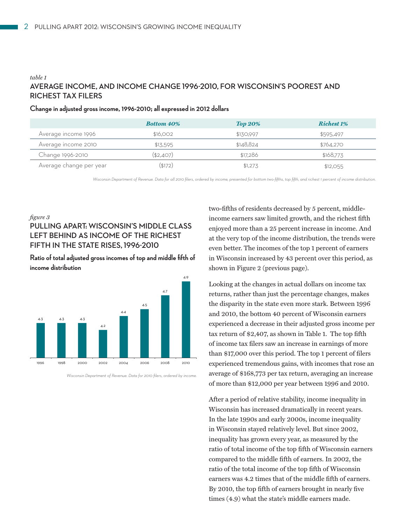### *table 1* **AVERAGE INCOME, AND INCOME CHANGE 1996-2010, FOR WISCONSIN'S POOREST AND RICHEST TAX FILERS**

|                         | <b>Bottom 40%</b> | <b>Top 20%</b> | <b>Richest 1%</b> |
|-------------------------|-------------------|----------------|-------------------|
| Average income 1996     | \$16,002          | \$130,997      | \$595.497         |
| Average income 2010     | \$1,5.595         | \$148.824      | \$764,270         |
| Change 1996-2010        | (\$2,407)         | \$17.286       | \$168,773         |
| Average change per year | (\$172)           | \$1,27.3       | \$12,055          |

#### **Change in adjusted gross income, 1996-2010; all expressed in 2012 dollars**

*Wisconsin Department of Revenue. Data for all 2010 filers, ordered by income, presented for bottom two-fifths, top fifth, and richest 1 percent of income distribution.* 

#### *figure 3*

## **PULLING APART: WISCONSIN'S MIDDLE CLASS LEFT BEHIND AS INCOME OF THE RICHEST FIFTH IN THE STATE RISES, 1996-2010**

**Ratio of total adjusted gross incomes of top and middle fifth of income distribution** 



*Wisconsin Department of Revenue. Data for 2010 filers, ordered by income.* 

two-fifths of residents decreased by 5 percent, middleincome earners saw limited growth, and the richest fifth enjoyed more than a 25 percent increase in income. And at the very top of the income distribution, the trends were even better. The incomes of the top 1 percent of earners in Wisconsin increased by 43 percent over this period, as shown in Figure 2 (previous page).

Looking at the changes in actual dollars on income tax returns, rather than just the percentage changes, makes the disparity in the state even more stark. Between 1996 and 2010, the bottom 40 percent of Wisconsin earners experienced a decrease in their adjusted gross income per tax return of \$2,407, as shown in Table 1. The top fifth of income tax filers saw an increase in earnings of more than \$17,000 over this period. The top 1 percent of filers experienced tremendous gains, with incomes that rose an average of \$168,773 per tax return, averaging an increase of more than \$12,000 per year between 1996 and 2010.

After a period of relative stability, income inequality in Wisconsin has increased dramatically in recent years. In the late 1990s and early 2000s, income inequality in Wisconsin stayed relatively level. But since 2002, inequality has grown every year, as measured by the ratio of total income of the top fifth of Wisconsin earners compared to the middle fifth of earners. In 2002, the ratio of the total income of the top fifth of Wisconsin earners was 4.2 times that of the middle fifth of earners. By 2010, the top fifth of earners brought in nearly five times (4.9) what the state's middle earners made.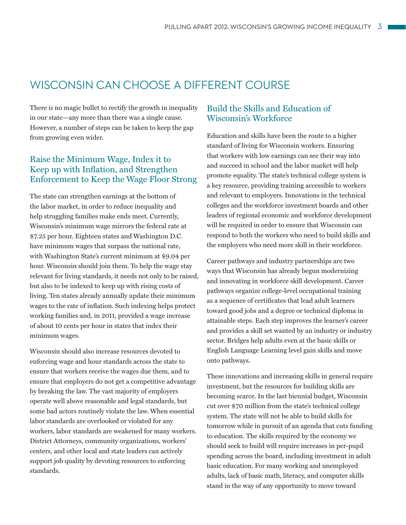## WISCONSIN CAN CHOOSE A DIFFERENT COURSE

There is no magic bullet to rectify the growth in inequality in our state—any more than there was a single cause. However, a number of steps can be taken to keep the gap from growing even wider.

## Raise the Minimum Wage, Index it to Keep up with Inflation, and Strengthen Enforcement to Keep the Wage Floor Strong

The state can strengthen earnings at the bottom of the labor market, in order to reduce inequality and help struggling families make ends meet. Currently, Wisconsin's minimum wage mirrors the federal rate at \$7.25 per hour. Eighteen states and Washington D.C. have minimum wages that surpass the national rate, with Washington State's current minimum at \$9.04 per hour. Wisconsin should join them. To help the wage stay relevant for living standards, it needs not only to be raised, but also to be indexed to keep up with rising costs of living. Ten states already annually update their minimum wages to the rate of inflation. Such indexing helps protect working families and, in 2011, provided a wage increase of about 10 cents per hour in states that index their minimum wages.

Wisconsin should also increase resources devoted to enforcing wage and hour standards across the state to ensure that workers receive the wages due them, and to ensure that employers do not get a competitive advantage by breaking the law. The vast majority of employers operate well above reasonable and legal standards, but some bad actors routinely violate the law. When essential labor standards are overlooked or violated for any workers, labor standards are weakened for many workers. District Attorneys, community organizations, workers' centers, and other local and state leaders can actively support job quality by devoting resources to enforcing standards.

## Build the Skills and Education of Wisconsin's Workforce

Education and skills have been the route to a higher standard of living for Wisconsin workers. Ensuring that workers with low earnings can see their way into and succeed in school and the labor market will help promote equality. The state's technical college system is a key resource, providing training accessible to workers and relevant to employers. Innovations in the technical colleges and the workforce investment boards and other leaders of regional economic and workforce development will be required in order to ensure that Wisconsin can respond to both the workers who need to build skills and the employers who need more skill in their workforce.

Career pathways and industry partnerships are two ways that Wisconsin has already begun modernizing and innovating in workforce skill development. Career pathways organize college-level occupational training as a sequence of certificates that lead adult learners toward good jobs and a degree or technical diploma in attainable steps. Each step improves the learner's career and provides a skill set wanted by an industry or industry sector. Bridges help adults even at the basic skills or English Language Learning level gain skills and move onto pathways.

These innovations and increasing skills in general require investment, but the resources for building skills are becoming scarce. In the last biennial budget, Wisconsin cut over \$70 million from the state's technical college system. The state will not be able to build skills for tomorrow while in pursuit of an agenda that cuts funding to education. The skills required by the economy we should seek to build will require increases in per-pupil spending across the board, including investment in adult basic education. For many working and unemployed adults, lack of basic math, literacy, and computer skills stand in the way of any opportunity to move toward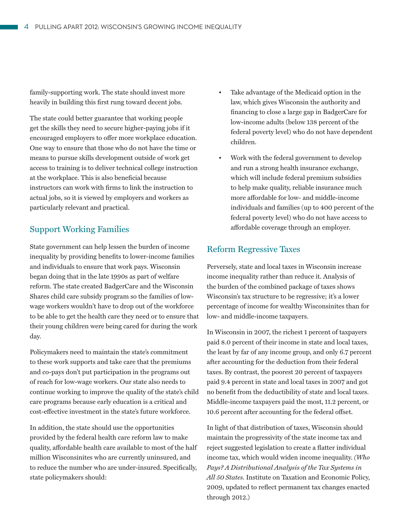family-supporting work. The state should invest more heavily in building this first rung toward decent jobs.

The state could better guarantee that working people get the skills they need to secure higher-paying jobs if it encouraged employers to offer more workplace education. One way to ensure that those who do not have the time or means to pursue skills development outside of work get access to training is to deliver technical college instruction at the workplace. This is also beneficial because instructors can work with firms to link the instruction to actual jobs, so it is viewed by employers and workers as particularly relevant and practical.

### Support Working Families

State government can help lessen the burden of income inequality by providing benefits to lower-income families and individuals to ensure that work pays. Wisconsin began doing that in the late 1990s as part of welfare reform. The state created BadgerCare and the Wisconsin Shares child care subsidy program so the families of lowwage workers wouldn't have to drop out of the workforce to be able to get the health care they need or to ensure that their young children were being cared for during the work day.

Policymakers need to maintain the state's commitment to these work supports and take care that the premiums and co-pays don't put participation in the programs out of reach for low-wage workers. Our state also needs to continue working to improve the quality of the state's child care programs because early education is a critical and cost-effective investment in the state's future workforce.

In addition, the state should use the opportunities provided by the federal health care reform law to make quality, affordable health care available to most of the half million Wisconsinites who are currently uninsured, and to reduce the number who are under-insured. Specifically, state policymakers should:

- Take advantage of the Medicaid option in the law, which gives Wisconsin the authority and financing to close a large gap in BadgerCare for low-income adults (below 138 percent of the federal poverty level) who do not have dependent children.
- Work with the federal government to develop and run a strong health insurance exchange, which will include federal premium subsidies to help make quality, reliable insurance much more affordable for low- and middle-income individuals and families (up to 400 percent of the federal poverty level) who do not have access to affordable coverage through an employer.

### Reform Regressive Taxes

Perversely, state and local taxes in Wisconsin increase income inequality rather than reduce it. Analysis of the burden of the combined package of taxes shows Wisconsin's tax structure to be regressive; it's a lower percentage of income for wealthy Wisconsinites than for low- and middle-income taxpayers.

In Wisconsin in 2007, the richest 1 percent of taxpayers paid 8.0 percent of their income in state and local taxes, the least by far of any income group, and only 6.7 percent after accounting for the deduction from their federal taxes. By contrast, the poorest 20 percent of taxpayers paid 9.4 percent in state and local taxes in 2007 and got no benefit from the deductibility of state and local taxes. Middle-income taxpayers paid the most, 11.2 percent, or 10.6 percent after accounting for the federal offset.

In light of that distribution of taxes, Wisconsin should maintain the progressivity of the state income tax and reject suggested legislation to create a flatter individual income tax, which would widen income inequality. *(Who Pays? A Distributional Analysis of the Tax Systems in All 50 States.* Institute on Taxation and Economic Policy, 2009, updated to reflect permanent tax changes enacted through 2012.)